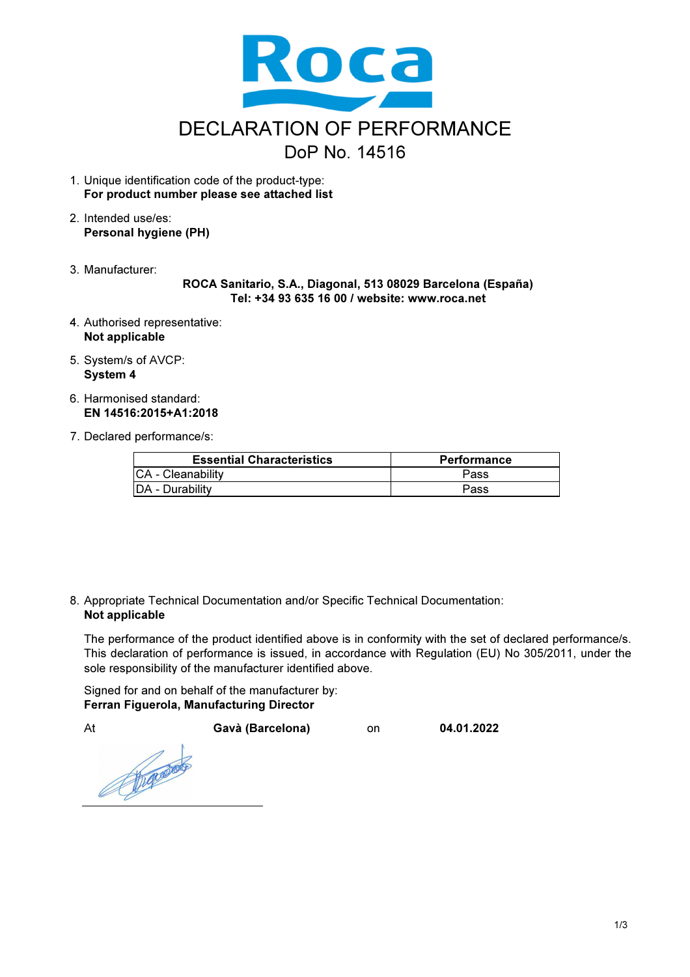

- 1. Unique identification code of the product-type: For product number please see attached list
- 2. Intended use/es: Personal hygiene (PH)
- 3. Manufacturer:

ROCA Sanitario, S.A., Diagonal, 513 08029 Barcelona (España) Tel: +34 93 635 16 00 / website: www.roca.net

- 4. Authorised representative: Not applicable
- 5. System/s of AVCP: System 4
- 6. Harmonised standard: EN 14516:2015+A1:2018
- 7. Declared performance/s:

| <b>Essential Characteristics</b> | <b>Performance</b> |
|----------------------------------|--------------------|
| CA - Cleanability                | <b>Pass</b>        |
| DA - Durability                  | Pass               |

8. Appropriate Technical Documentation and/or Specific Technical Documentation: Not applicable

The performance of the product identified above is in conformity with the set of declared performance/s. This declaration of performance is issued, in accordance with Regulation (EU) No 305/2011, under the sole responsibility of the manufacturer identified above.

Signed for and on behalf of the manufacturer by: Ferran Figuerola, Manufacturing Director

At Gavà (Barcelona) on 04.01.2022

Francisco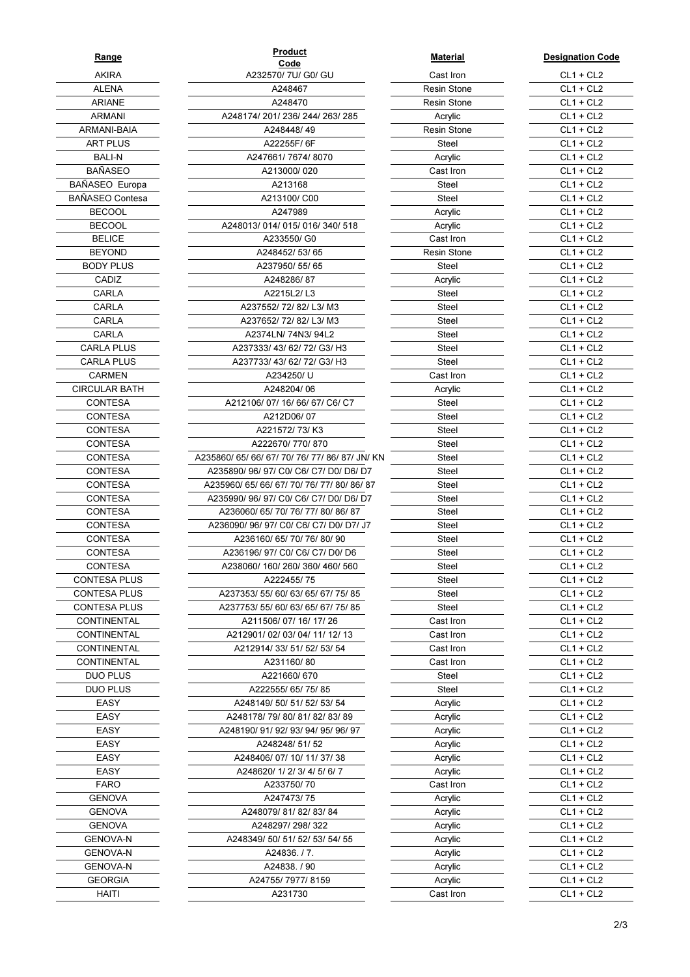| <u>Range</u>         |
|----------------------|
| AKIRA                |
| ALENA                |
| ARIANE               |
| ARMANI               |
| ARMANI-BAIA          |
| ART PLUS             |
| Bali-N               |
| BAÑASEO              |
| BAÑASEO Europa       |
| BAÑASEO Contesa      |
| BECOOL               |
| BECOOL               |
| <b>BELICE</b>        |
| BEYOND               |
| <b>BODY PLUS</b>     |
| CADIZ                |
| CARLA                |
| CARLA                |
| CARLA                |
| CARLA                |
| <b>CARLA PLUS</b>    |
| CARLA PLUS           |
| CARMEN               |
| <b>CIRCULAR BATH</b> |
| CONTESA              |
| CONTESA              |
| CONTESA              |
| CONTESA              |
| CONTESA              |
| CONTESA              |
|                      |
| CONTESA<br>CONTESA   |
| CONTESA              |
|                      |
| CONTESA              |
| CONTESA              |
| CONTESA              |
| CONTESA              |
| CONTESA PLUS         |
| <b>CONTESA PLUS</b>  |
| <b>CONTESA PLUS</b>  |
| <b>CONTINENTAL</b>   |
| <b>CONTINENTAL</b>   |
| <b>CONTINENTAL</b>   |
| <b>CONTINENTAL</b>   |
| DUO PLUS             |
| DUO PLUS             |
| EASY                 |
| EASY                 |
| EASY                 |
| EASY                 |
| EASY                 |
| EASY                 |
| FARO                 |
| GENOVA               |
| GENOVA               |
| GENOVA               |
| <b>GENOVA-N</b>      |
| <b>GENOVA-N</b>      |
| <b>GENOVA-N</b>      |
| <b>GEORGIA</b>       |
| HAITI                |

| Range                        | Product                                                | <b>Material</b>    | <b>Designation C</b>       |
|------------------------------|--------------------------------------------------------|--------------------|----------------------------|
| <b>AKIRA</b>                 | Code<br>A232570/ 7U/ G0/ GU                            | Cast Iron          | $CL1 + CL2$                |
| <b>ALENA</b>                 | A248467                                                | <b>Resin Stone</b> | $CL1 + CL2$                |
| <b>ARIANE</b>                | A248470                                                | <b>Resin Stone</b> | $CL1 + CL2$                |
| <b>ARMANI</b>                | A248174/201/236/244/263/285                            | Acrylic            | $CL1 + CL2$                |
| ARMANI-BAIA                  | A248448/49                                             | Resin Stone        | $CL1 + CL2$                |
| <b>ART PLUS</b>              | A22255F/6F                                             | Steel              | $CL1 + CL2$                |
| <b>BALI-N</b>                | A247661/7674/8070                                      | Acrylic            | $CL1 + CL2$                |
| <b>BAÑASEO</b>               | A213000/020                                            | Cast Iron          | $CL1 + CL2$                |
| BAÑASEO Europa               | A213168                                                | Steel              | $CL1 + CL2$                |
| BAÑASEO Contesa              | A213100/ C00                                           | Steel              | $CL1 + CL2$                |
| <b>BECOOL</b>                | A247989                                                | Acrylic            | $CL1 + CL2$                |
| <b>BECOOL</b>                | A248013/014/015/016/340/518                            | Acrylic            | $CL1 + CL2$                |
| <b>BELICE</b>                | A233550/G0                                             | Cast Iron          | $CL1 + CL2$                |
| <b>BEYOND</b>                | A248452/53/65                                          | <b>Resin Stone</b> | $CL1 + CL2$                |
| <b>BODY PLUS</b>             | A237950/55/65                                          | Steel              | $CL1 + CL2$                |
| CADIZ                        | A248286/87                                             | Acrylic            | $CL1 + CL2$                |
| CARLA                        | A2215L2/L3                                             | Steel              | $CL1 + CL2$                |
| CARLA                        | A237552/72/82/L3/M3                                    | Steel              | $CL1 + CL2$                |
| CARLA                        | A237652/72/82/L3/M3                                    | Steel              | $CL1 + CL2$                |
| CARLA                        | A2374LN/74N3/94L2                                      | Steel              | $CL1 + CL2$                |
| <b>CARLA PLUS</b>            | A237333/43/62/72/G3/H3                                 | <b>Steel</b>       | $CL1 + CL2$                |
| <b>CARLA PLUS</b>            | A237733/43/62/72/G3/H3                                 | Steel              | $CL1 + CL2$                |
| <b>CARMEN</b>                | A234250/U                                              | Cast Iron          | $CL1 + CL2$                |
| <b>CIRCULAR BATH</b>         | A248204/06                                             | Acrylic            | $CL1 + CL2$                |
| CONTESA                      | A212106/07/16/66/67/C6/C7                              | Steel              | $CL1 + CL2$                |
| <b>CONTESA</b>               | A212D06/07                                             | Steel              | $CL1 + CL2$                |
| CONTESA                      | A221572/73/K3                                          | Steel              | $CL1 + CL2$                |
| CONTESA                      | A222670/770/870                                        | Steel              | $CL1 + CL2$                |
| CONTESA                      | A235860/ 65/ 66/ 67/ 70/ 76/ 77/ 86/ 87/ JN/ KN        | Steel              | $CL1 + CL2$                |
| <b>CONTESA</b>               | A235890/ 96/ 97/ C0/ C6/ C7/ D0/ D6/ D7                | Steel              | $CL1 + CL2$                |
| CONTESA                      | A235960/ 65/ 66/ 67/ 70/ 76/ 77/ 80/ 86/ 87            | Steel              | $CL1 + CL2$                |
| CONTESA                      | A235990/96/97/C0/C6/C7/D0/D6/D7                        | Steel              | $CL1 + CL2$                |
| CONTESA                      | A236060/ 65/ 70/ 76/ 77/ 80/ 86/ 87                    | Steel              | $CL1 + CL2$                |
| CONTESA                      | A236090/96/97/C0/C6/C7/D0/D7/J7                        | Steel              | $CL1 + CL2$                |
| <b>CONTESA</b>               | A236160/65/70/76/80/90                                 | Steel              | $CL1 + CL2$                |
| <b>CONTESA</b>               | A236196/ 97/ C0/ C6/ C7/ D0/ D6                        | Steel              | $CL1 + CL2$                |
| CONTESA                      | A238060/ 160/ 260/ 360/ 460/ 560                       | Steel              | $CL1 + CL2$                |
| CONTESA PLUS                 | A222455/75                                             | Steel              | $CL1 + CL2$                |
| <b>CONTESA PLUS</b>          | A237353/ 55/ 60/ 63/ 65/ 67/ 75/ 85                    | Steel              | $CL1 + CL2$                |
| <b>CONTESA PLUS</b>          | A237753/ 55/ 60/ 63/ 65/ 67/ 75/ 85                    | Steel              | $CL1 + CL2$                |
| CONTINENTAL                  | A211506/07/16/17/26                                    | Cast Iron          | $CL1 + CL2$                |
| CONTINENTAL                  | A212901/02/03/04/11/12/13                              | Cast Iron          | $CL1 + CL2$                |
| CONTINENTAL                  | A212914/33/51/52/53/54                                 | Cast Iron          | $CL1 + CL2$                |
| CONTINENTAL                  | A231160/80                                             | Cast Iron          | $CL1 + CL2$                |
| <b>DUO PLUS</b>              | A221660/670                                            | Steel              | $CL1 + CL2$                |
| DUO PLUS                     | A222555/65/75/85                                       | Steel              | $CL1 + CL2$                |
| <b>EASY</b>                  | A248149/ 50/ 51/ 52/ 53/ 54                            | Acrylic            | $CL1 + CL2$                |
| EASY                         | A248178/79/80/81/82/83/89                              | Acrylic            | $CL1 + CL2$                |
| EASY                         | A248190/91/92/93/94/95/96/97                           | Acrylic            | $CL1 + CL2$                |
| EASY                         | A248248/51/52                                          | Acrylic            | $CL1 + CL2$                |
| EASY<br>EASY                 | A248406/07/10/11/37/38<br>A248620/ 1/ 2/ 3/ 4/ 5/ 6/ 7 | Acrylic            | $CL1 + CL2$<br>$CL1 + CL2$ |
|                              |                                                        | Acrylic            |                            |
| <b>FARO</b><br><b>GENOVA</b> | A233750/70<br>A247473/75                               | Cast Iron          | $CL1 + CL2$<br>$CL1 + CL2$ |
| <b>GENOVA</b>                | A248079/81/82/83/84                                    | Acrylic<br>Acrylic | $CL1 + CL2$                |
| <b>GENOVA</b>                | A248297/298/322                                        | Acrylic            | $CL1 + CL2$                |
| <b>GENOVA-N</b>              | A248349/ 50/ 51/ 52/ 53/ 54/ 55                        | Acrylic            | $CL1 + CL2$                |
| <b>GENOVA-N</b>              | A24836./7.                                             | Acrylic            | $CL1 + CL2$                |
| <b>GENOVA-N</b>              | A24838. / 90                                           | Acrylic            | $CL1 + CL2$                |
| <b>GEORGIA</b>               | A24755/7977/8159                                       | Acrylic            | $CL1 + CL2$                |
| <b>HAITI</b>                 | A231730                                                | Cast Iron          | $CL1 + CL2$                |
|                              |                                                        |                    |                            |

| <u>Material</u> |
|-----------------|
| Cast Iron       |
| Resin Stone     |
| Resin Stone     |
| Acrylic         |
| Resin Stone     |
| Steel           |
| Acrylic         |
| Cast Iron       |
| <b>Steel</b>    |
| Steel           |
| Acrylic         |
| Acrylic         |
| Cast Iron       |
| Resin Stone     |
| Steel           |
| Acrylic         |
| Steel           |
| Steel           |
| Steel           |
| Steel           |
| Steel           |
| Steel           |
| Cast Iron       |
| Acrylic         |
| Steel           |
| Steel           |
| Steel           |
| Steel           |
| Steel           |
| Steel           |
| Steel<br>Steel  |
| Steel           |
| Steel           |
| Steel           |
| Steel           |
| Steel           |
| Steel           |
| Steel           |
| Steel           |
| Cast Iron       |
| Cast Iron       |
| Cast Iron       |
| Cast Iron       |
| Steel           |
| Steel           |
| Acrylic         |
| Acrylic         |
| Acrylic         |
| Acrylic         |
| Acrylic         |
| Acrylic         |
| Cast Iron       |
| Acrylic         |
| Acrylic         |
| Acrylic         |
| Acrylic         |
| Acrylic         |
| Acrylic         |
| Acrylic         |
| Cast Iron       |

| <u>roauct</u><br>Code     | <b>Material</b>    | <b>Designation Code</b>    |
|---------------------------|--------------------|----------------------------|
| 0/7U/G0/GU                | Cast Iron          | $CL1 + CL2$                |
| 248467                    | <b>Resin Stone</b> | $CL1 + CL2$                |
| 248470                    | <b>Resin Stone</b> | $CL1 + CL2$                |
| 236/244/263/285           | Acrylic            | $CL1 + CL2$                |
| 8448/49                   | <b>Resin Stone</b> | $CL1 + CL2$                |
| 255F/6F                   | Steel              | $CL1 + CL2$                |
| 1/7674/8070               | Acrylic            | $CL1 + CL2$                |
| 3000/020                  | Cast Iron          | $CL1 + CL2$                |
| 213168                    | Steel              | $CL1 + CL2$                |
| 3100/C00                  | Steel              | $CL1 + CL2$                |
| 247989                    | Acrylic            | $CL1 + CL2$                |
| 015/016/340/518           | Acrylic            | $CL1 + CL2$                |
| 3550/ G0                  | Cast Iron          | $CL1 + CL2$                |
| 452/53/65                 | <b>Resin Stone</b> | $CL1 + CL2$                |
| 950/55/65                 | Steel              | $CL1 + CL2$                |
| 8286/87                   | Acrylic            | $CL1 + CL2$                |
| 15L2/L3                   | Steel              | $CL1 + CL2$                |
| 72/82/L3/M3               | Steel              | $CL1 + CL2$                |
| 72/82/L3/M3               | Steel              | $CL1 + CL2$                |
| √/ 74N3/ 94L2             | Steel              | $CL1 + CL2$                |
| 3/ 62/ 72/ G3/ H3         | Steel              | $CL1 + CL2$                |
| 3/62/72/G3/H3             | Steel              | $CL1 + CL2$                |
| 34250/U                   | Cast Iron          | $CL1 + CL2$                |
| 8204/06                   | Acrylic            | $CL1 + CL2$                |
| 16/66/67/C6/C7            | Steel              | $CL1 + CL2$                |
| 2D06/07                   | Steel              | $CL1 + CL2$                |
| 572/73/K3                 | Steel              | $CL1 + CL2$                |
| 70/770/870                | Steel              | $CL1 + CL2$                |
| 70/76/77/86/87/JN/KN      | Steel              | $CL1 + CL2$                |
| C0/ C6/ C7/ D0/ D6/ D7    | Steel              | $CL1 + CL2$                |
| 71 70/ 76/ 77/ 80/ 86/ 87 | Steel              | $CL1 + CL2$                |
| C0/ C6/ C7/ D0/ D6/ D7    | Steel              | $CL1 + CL2$                |
| '0/ 76/ 77/ 80/ 86/ 87    | <b>Steel</b>       | $CL1 + CL2$                |
| C0/ C6/ C7/ D0/ D7/ J7    | <b>Steel</b>       | $CL1 + CL2$                |
| 5/70/76/80/90             | Steel              | $CL1 + CL2$                |
| C0/ C6/ C7/ D0/ D6        | Steel              | $CL1 + CL2$                |
| (260/360/460/560          | Steel              | $CL1 + CL2$                |
| 2455/75                   | Steel              | $CL1 + CL2$                |
| 0/63/65/67/75/85          | Steel              | $CL1 + CL2$                |
| 0/63/65/67/75/85          | Steel              | $CL1 + CL2$                |
| / 07/ 16/ 17/ 26          | Cast Iron          | $CL1 + CL2$                |
| / 03/ 04/ 11/ 12/ 13      | Cast Iron          | $CL1 + CL2$                |
| 3/ 51/ 52/ 53/ 54         | Cast Iron          | $CL1 + CL2$                |
| 1160/80                   | Cast Iron          | $CL1 + CL2$                |
| 1660/670                  | Steel              | $CL1 + CL2$                |
| 5/ 65/ 75/ 85             | Steel              | $CL1 + CL2$                |
| 60/51/52/53/54            | Acrylic            | $CL1 + CL2$                |
| 80/81/82/83/89            | Acrylic            | $CL1 + CL2$                |
| 12/93/94/95/96/97         | Acrylic            | $CL1 + CL2$                |
| 248/51/52                 | Acrylic            | $CL1 + CL2$                |
| 17/ 10/ 11/ 37/ 38        | Acrylic            | $CL1 + CL2$                |
| 1/ 2/ 3/ 4/ 5/ 6/ 7       | Acrylic            | $CL1 + CL2$                |
| 3750/70                   | Cast Iron          | $CL1 + CL2$                |
| 7473/75                   |                    |                            |
| / 81/ 82/ 83/ 84          | Acrylic            | $CL1 + CL2$<br>$CL1 + CL2$ |
|                           | Acrylic            |                            |
| 97/298/322                | Acrylic            | $CL1 + CL2$                |
| / 51/ 52/ 53/ 54/ 55      | Acrylic            | $CL1 + CL2$                |
| 1836. <i>I</i> 7.         | Acrylic            | $CL1 + CL2$                |
| 1838. / 90                | Acrylic            | $CL1 + CL2$                |
| i/ 7977/ 8159             | Acrylic            | $CL1 + CL2$                |
| 231730                    | Cast Iron          | CL1 + CL2                  |